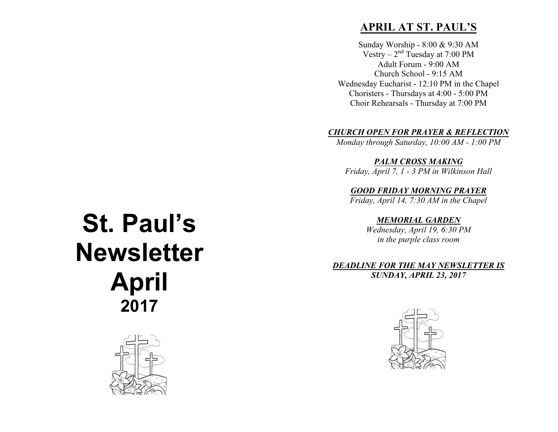# **APRIL AT ST. PAUL'S**

Sunday Worship - 8:00 & 9:30 AM Vestry –  $2<sup>nd</sup>$  Tuesday at 7:00 PM Adult Forum - 9:00 AM Church School - 9:15 AM Wednesday Eucharist - 12:10 PM in the Chapel Choristers - Thursdays at 4:00 - 5:00 PM Choir Rehearsals - Thursday at 7:00 PM

#### *CHURCH OPEN FOR PRAYER & REFLECTION*

*Monday through Saturday, 10:00 AM - 1:00 PM*

*PALM CROSS MAKING*

*Friday, April 7, 1 - 3 PM in Wilkinson Hall*

*GOOD FRIDAY MORNING PRAYER Friday, April 14, 7:30 AM in the Chapel*

> *MEMORIAL GARDEN Wednesday, April 19, 6:30 PM in the purple class room*

*DEADLINE FOR THE MAY NEWSLETTER IS SUNDAY, APRIL 23, 2017*



# **St. Paul's Newsletter April 2017**

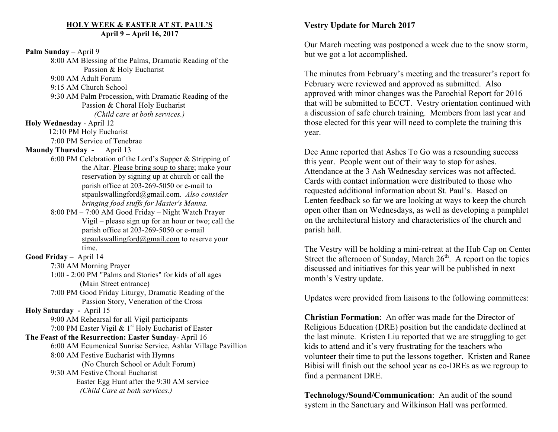#### **HOLY WEEK & EASTER AT ST. PAUL'S April 9 – April 16, 2017**

**Palm Sunday** – April 9 8:00 AM Blessing of the Palms, Dramatic Reading of the Passion & Holy Eucharist 9:00 AM Adult Forum 9:15 AM Church School 9:30 AM Palm Procession, with Dramatic Reading of the Passion & Choral Holy Eucharist *(Child care at both services.)* **Holy Wednesday** - April 12 12:10 PM Holy Eucharist 7:00 PM Service of Tenebrae **Maundy Thursday -** April 13 6:00 PM Celebration of the Lord's Supper & Stripping of the Altar. Please bring soup to share; make your reservation by signing up at church or call the parish office at 203-269-5050 or e-mail to stpaulswallingford@gmail.com. *Also consider bringing food stuffs for Master's Manna.* 8:00 PM – 7:00 AM Good Friday – Night Watch Prayer Vigil – please sign up for an hour or two; call the parish office at 203-269-5050 or e-mail stpaulswallingford@gmail.com to reserve your time. **Good Friday** – April 14 7:30 AM Morning Prayer 1:00 - 2:00 PM "Palms and Stories" for kids of all ages (Main Street entrance) 7:00 PM Good Friday Liturgy, Dramatic Reading of the Passion Story, Veneration of the Cross **Holy Saturday -** April 15 9:00 AM Rehearsal for all Vigil participants 7:00 PM Easter Vigil  $\& 1<sup>st</sup>$  Holy Eucharist of Easter **The Feast of the Resurrection: Easter Sunday**- April 16 6:00 AM Ecumenical Sunrise Service, Ashlar Village Pavillion 8:00 AM Festive Eucharist with Hymns (No Church School or Adult Forum) 9:30 AM Festive Choral Eucharist Easter Egg Hunt after the 9:30 AM service *(Child Care at both services.)* 

# **Vestry Update for March 2017**

Our March meeting was postponed a week due to the snow storm, but we got a lot accomplished.

The minutes from February's meeting and the treasurer's report for February were reviewed and approved as submitted. Also approved with minor changes was the Parochial Report for 2016 that will be submitted to ECCT. Vestry orientation continued with a discussion of safe church training. Members from last year and those elected for this year will need to complete the training this year.

Dee Anne reported that Ashes To Go was a resounding success this year. People went out of their way to stop for ashes. Attendance at the 3 Ash Wednesday services was not affected. Cards with contact information were distributed to those who requested additional information about St. Paul's. Based on Lenten feedback so far we are looking at ways to keep the church open other than on Wednesdays, as well as developing a pamphlet on the architectural history and characteristics of the church and parish hall.

The Vestry will be holding a mini-retreat at the Hub Cap on Center Street the afternoon of Sunday, March  $26<sup>th</sup>$ . A report on the topics discussed and initiatives for this year will be published in next month's Vestry update.

Updates were provided from liaisons to the following committees:

**Christian Formation**: An offer was made for the Director of Religious Education (DRE) position but the candidate declined at the last minute. Kristen Liu reported that we are struggling to get kids to attend and it's very frustrating for the teachers who volunteer their time to put the lessons together. Kristen and Ranee Bibisi will finish out the school year as co-DREs as we regroup to find a permanent DRE.

**Technology/Sound/Communication**: An audit of the sound system in the Sanctuary and Wilkinson Hall was performed.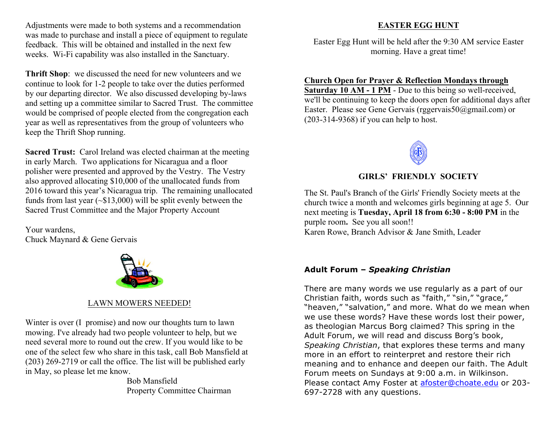Adjustments were made to both systems and a recommendation was made to purchase and install a piece of equipment to regulate feedback. This will be obtained and installed in the next few weeks. Wi-Fi capability was also installed in the Sanctuary.

**Thrift Shop**: we discussed the need for new volunteers and we continue to look for 1-2 people to take over the duties performed by our departing director. We also discussed developing by-laws and setting up a committee similar to Sacred Trust. The committee would be comprised of people elected from the congregation each year as well as representatives from the group of volunteers who keep the Thrift Shop running.

**Sacred Trust:** Carol Ireland was elected chairman at the meeting in early March. Two applications for Nicaragua and a floor polisher were presented and approved by the Vestry. The Vestry also approved allocating \$10,000 of the unallocated funds from 2016 toward this year's Nicaragua trip. The remaining unallocated funds from last year (~\$13,000) will be split evenly between the Sacred Trust Committee and the Major Property Account

Your wardens, Chuck Maynard & Gene Gervais



## LAWN MOWERS NEEDED!

Winter is over (I promise) and now our thoughts turn to lawn mowing. I've already had two people volunteer to help, but we need several more to round out the crew. If you would like to be one of the select few who share in this task, call Bob Mansfield at (203) 269-2719 or call the office. The list will be published early in May, so please let me know.

Bob Mansfield Property Committee Chairman

### **EASTER EGG HUNT**

Easter Egg Hunt will be held after the 9:30 AM service Easter morning. Have a great time!

#### **Church Open for Prayer & Reflection Mondays through**

**Saturday 10 AM - 1 PM** - Due to this being so well-received, we'll be continuing to keep the doors open for additional days after Easter. Please see Gene Gervais (rggervais50@gmail.com) or (203-314-9368) if you can help to host.



### **GIRLS' FRIENDLY SOCIETY**

The St. Paul's Branch of the Girls' Friendly Society meets at the church twice a month and welcomes girls beginning at age 5. Our next meeting is **Tuesday, April 18 from 6:30 - 8:00 PM** in the purple room**.** See you all soon!! Karen Rowe, Branch Advisor & Jane Smith, Leader

#### **Adult Forum –** *Speaking Christian*

There are many words we use regularly as a part of our Christian faith, words such as "faith," "sin," "grace," "heaven," "salvation," and more. What do we mean when we use these words? Have these words lost their power, as theologian Marcus Borg claimed? This spring in the Adult Forum, we will read and discuss Borg's book, *Speaking Christian*, that explores these terms and many more in an effort to reinterpret and restore their rich meaning and to enhance and deepen our faith. The Adult Forum meets on Sundays at 9:00 a.m. in Wilkinson. Please contact Amy Foster at afoster@choate.edu or 203-697-2728 with any questions.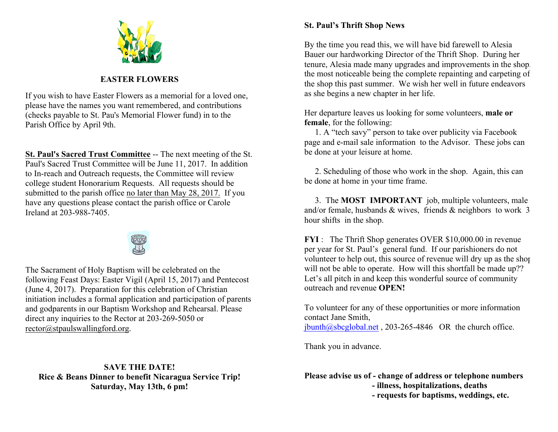

# **EASTER FLOWERS**

If you wish to have Easter Flowers as a memorial for a loved one, please have the names you want remembered, and contributions (checks payable to St. Pau's Memorial Flower fund) in to the Parish Office by April 9th.

**St. Paul's Sacred Trust Committee** -- The next meeting of the St. Paul's Sacred Trust Committee will be June 11, 2017. In addition to In-reach and Outreach requests, the Committee will review college student Honorarium Requests. All requests should be submitted to the parish office no later than May 28, 2017. If you have any questions please contact the parish office or Carole Ireland at 203-988-7405.



The Sacrament of Holy Baptism will be celebrated on the following Feast Days: Easter Vigil (April 15, 2017) and Pentecost (June 4, 2017). Preparation for this celebration of Christian initiation includes a formal application and participation of parents and godparents in our Baptism Workshop and Rehearsal. Please direct any inquiries to the Rector at 203-269-5050 or rector@stpaulswallingford.org.

### **SAVE THE DATE! Rice & Beans Dinner to benefit Nicaragua Service Trip! Saturday, May 13th, 6 pm!**

# **St. Paul's Thrift Shop News**

By the time you read this, we will have bid farewell to Alesia Bauer our hardworking Director of the Thrift Shop. During her tenure, Alesia made many upgrades and improvements in the shop, the most noticeable being the complete repainting and carpeting of the shop this past summer. We wish her well in future endeavors as she begins a new chapter in her life.

Her departure leaves us looking for some volunteers, **male or female**, for the following:

 1. A "tech savy" person to take over publicity via Facebook page and e-mail sale information to the Advisor. These jobs can be done at your leisure at home.

 2. Scheduling of those who work in the shop. Again, this can be done at home in your time frame.

 3. The **MOST IMPORTANT** job, multiple volunteers, male and/or female, husbands & wives, friends & neighbors to work 3 hour shifts in the shop.

**FYI** : The Thrift Shop generates OVER \$10,000.00 in revenue per year for St. Paul's general fund. If our parishioners do not volunteer to help out, this source of revenue will dry up as the shop will not be able to operate. How will this shortfall be made up?? Let's all pitch in and keep this wonderful source of community outreach and revenue **OPEN!**

To volunteer for any of these opportunities or more information contact Jane Smith,  $j$ bunth $@s$ bcglobal.net , 203-265-4846 OR the church office.

Thank you in advance.

**Please advise us of - change of address or telephone numbers - illness, hospitalizations, deaths**

 **- requests for baptisms, weddings, etc.**